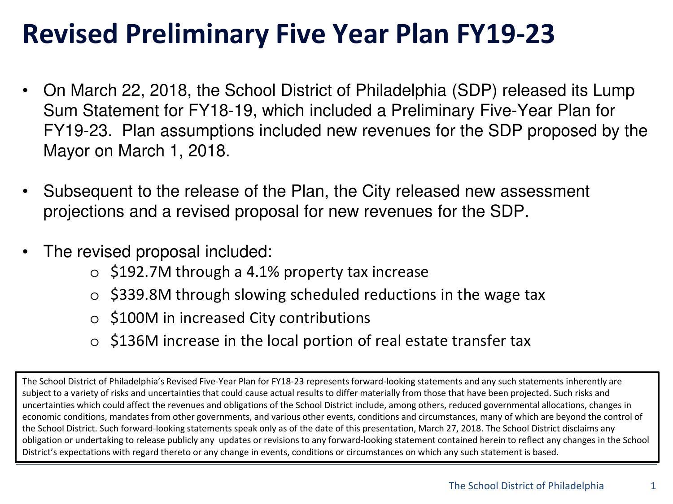## **Revised Preliminary Five Year Plan FY19-23**

- On March 22, 2018, the School District of Philadelphia (SDP) released its Lump Sum Statement for FY18-19, which included a Preliminary Five-Year Plan for FY19-23. Plan assumptions included new revenues for the SDP proposed by the Mayor on March 1, 2018.
- Subsequent to the release of the Plan, the City released new assessment projections and a revised proposal for new revenues for the SDP.
- The revised proposal included:
	- o \$192.7M through a 4.1% property tax increase
	- $\circ$  \$339.8M through slowing scheduled reductions in the wage tax
	- o \$100M in increased City contributions
	- o \$136M increase in the local portion of real estate transfer tax

The School District of Philadelphia's Revised Five-Year Plan for FY18-23 represents forward-looking statements and any such statements inherently are subject to a variety of risks and uncertainties that could cause actual results to differ materially from those that have been projected. Such risks and uncertainties which could affect the revenues and obligations of the School District include, among others, reduced governmental allocations, changes in economic conditions, mandates from other governments, and various other events, conditions and circumstances, many of which are beyond the control of the School District. Such forward-looking statements speak only as of the date of this presentation, March 27, 2018. The School District disclaims any obligation or undertaking to release publicly any updates or revisions to any forward-looking statement contained herein to reflect any changes in the School District's expectations with regard thereto or any change in events, conditions or circumstances on which any such statement is based.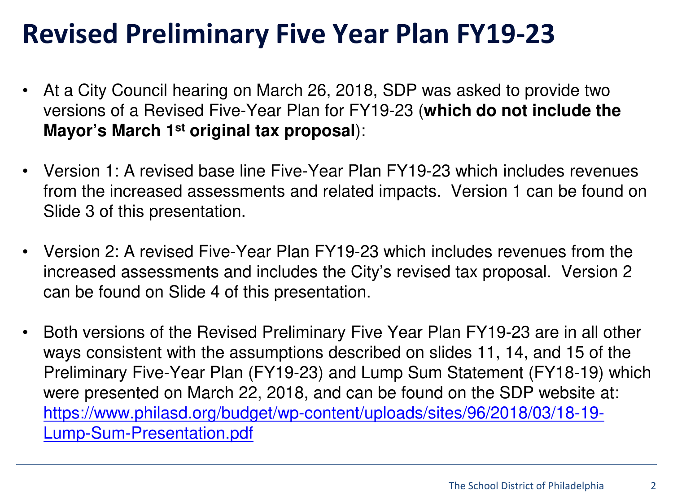## **Revised Preliminary Five Year Plan FY19-23**

- At a City Council hearing on March 26, 2018, SDP was asked to provide two versions of a Revised Five-Year Plan for FY19-23 (**which do not include the Mayor's March 1st original tax proposal**):
- Version 1: A revised base line Five-Year Plan FY19-23 which includes revenues from the increased assessments and related impacts. Version 1 can be found on Slide 3 of this presentation.
- Version 2: A revised Five-Year Plan FY19-23 which includes revenues from the increased assessments and includes the City's revised tax proposal. Version 2 can be found on Slide 4 of this presentation.
- Both versions of the Revised Preliminary Five Year Plan FY19-23 are in all other ways consistent with the assumptions described on slides 11, 14, and 15 of the Preliminary Five-Year Plan (FY19-23) and Lump Sum Statement (FY18-19) which were presented on March 22, 2018, and can be found on the SDP website at: [https://www.philasd.org/budget/wp-content/uploads/sites/96/2018/03/18-19-](https://www.philasd.org/budget/wp-content/uploads/sites/96/2018/03/18-19-Lump-Sum-Presentation.pdf) Lump-Sum-Presentation.pdf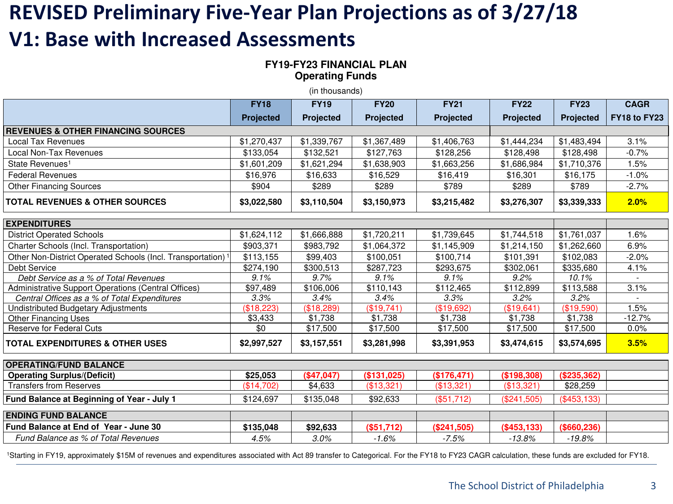## **REVISED Preliminary Five-Year Plan Projections as of 3/27/18 V1: Base with Increased Assessments**

**FY19-FY23 FINANCIAL PLAN Operating Funds**

(in thousands)

|                                                                         | <b>FY18</b>      | <b>FY19</b>      | <b>FY20</b>      | <b>FY21</b>      | <b>FY22</b>      | <b>FY23</b>      | <b>CAGR</b>  |  |  |  |  |
|-------------------------------------------------------------------------|------------------|------------------|------------------|------------------|------------------|------------------|--------------|--|--|--|--|
|                                                                         | <b>Projected</b> | <b>Projected</b> | <b>Projected</b> | <b>Projected</b> | <b>Projected</b> | <b>Projected</b> | FY18 to FY23 |  |  |  |  |
| <b>REVENUES &amp; OTHER FINANCING SOURCES</b>                           |                  |                  |                  |                  |                  |                  |              |  |  |  |  |
| <b>Local Tax Revenues</b>                                               | \$1,270,437      | \$1,339,767      | \$1,367,489      | \$1,406,763      | \$1,444,234      | \$1,483,494      | 3.1%         |  |  |  |  |
| Local Non-Tax Revenues                                                  | \$133,054        | \$132,521        | \$127,763        | \$128,256        | \$128,498        | \$128,498        | $-0.7%$      |  |  |  |  |
| State Revenues <sup>1</sup>                                             | \$1,601,209      | \$1,621,294      | \$1,638,903      | \$1,663,256      | \$1,686,984      | \$1,710,376      | 1.5%         |  |  |  |  |
| <b>Federal Revenues</b>                                                 | \$16,976         | \$16,633         | \$16,529         | \$16,419         | \$16,301         | \$16,175         | $-1.0%$      |  |  |  |  |
| <b>Other Financing Sources</b>                                          | \$904            | \$289            | \$289            | \$789            | \$289            | \$789            | $-2.7%$      |  |  |  |  |
| <b>TOTAL REVENUES &amp; OTHER SOURCES</b>                               | \$3,022,580      | \$3,110,504      | \$3,150,973      | \$3,215,482      | \$3,276,307      | \$3,339,333      | 2.0%         |  |  |  |  |
| <b>EXPENDITURES</b>                                                     |                  |                  |                  |                  |                  |                  |              |  |  |  |  |
| <b>District Operated Schools</b>                                        | \$1,624,112      | \$1,666,888      | \$1,720,211      | \$1,739,645      | \$1,744,518      | \$1,761,037      | 1.6%         |  |  |  |  |
| Charter Schools (Incl. Transportation)                                  | \$903,371        | \$983,792        | \$1,064,372      | \$1,145,909      | \$1,214,150      | \$1,262,660      | 6.9%         |  |  |  |  |
| Other Non-District Operated Schools (Incl. Transportation) <sup>1</sup> | \$113,155        | \$99,403         | \$100,051        | \$100,714        | \$101,391        | \$102,083        | $-2.0%$      |  |  |  |  |
| Debt Service                                                            | \$274,190        | \$300,513        | \$287,723        | \$293,675        | \$302,061        | \$335,680        | 4.1%         |  |  |  |  |
| Debt Service as a % of Total Revenues                                   | 9.1%             | 9.7%             | 9.1%             | 9.1%             | 9.2%             | 10.1%            |              |  |  |  |  |
| Administrative Support Operations (Central Offices)                     | \$97,489         | \$106,006        | \$110,143        | \$112,465        | \$112,899        | \$113,588        | 3.1%         |  |  |  |  |
| Central Offices as a % of Total Expenditures                            | 3.3%             | 3.4%             | 3.4%             | 3.3%             | 3.2%             | 3.2%             |              |  |  |  |  |
| Undistributed Budgetary Adjustments                                     | (\$18,223)       | (\$18,289)       | (\$19,741)       | (\$19,692)       | (\$19,641)       | (\$19,590)       | 1.5%         |  |  |  |  |
| <b>Other Financing Uses</b>                                             | \$3,433          | \$1,738          | \$1,738          | \$1,738          | \$1,738          | \$1,738          | $-12.7%$     |  |  |  |  |
| <b>Reserve for Federal Cuts</b>                                         | $\overline{30}$  | \$17,500         | \$17,500         | \$17,500         | \$17,500         | \$17,500         | 0.0%         |  |  |  |  |
| <b>TOTAL EXPENDITURES &amp; OTHER USES</b>                              | \$2,997,527      | \$3,157,551      | \$3,281,998      | \$3,391,953      | \$3,474,615      | \$3,574,695      | 3.5%         |  |  |  |  |
| <b>OPERATING/FUND BALANCE</b>                                           |                  |                  |                  |                  |                  |                  |              |  |  |  |  |
| <b>Operating Surplus/(Deficit)</b>                                      | \$25,053         | (\$47,047)       | (\$131,025)      | (\$176,471)      | (\$198,308)      | (\$235,362)      |              |  |  |  |  |
| <b>Transfers from Reserves</b>                                          | (\$14,702)       | \$4,633          | (\$13,321)       | (\$13,321)       | (\$13,321)       | \$28,259         |              |  |  |  |  |
| Fund Balance at Beginning of Year - July 1                              | \$124,697        | \$135,048        | \$92,633         | (\$51,712)       | (\$241,505)      | ( \$453, 133)    |              |  |  |  |  |
| <b>ENDING FUND BALANCE</b>                                              |                  |                  |                  |                  |                  |                  |              |  |  |  |  |
| <b>Fund Balance at End of Year - June 30</b>                            | \$135,048        | \$92,633         | (\$51,712)       | (\$241,505)      | (\$453,133)      | (\$660,236)      |              |  |  |  |  |
| Fund Balance as % of Total Revenues                                     | 4.5%             | 3.0%             | $-1.6%$          | $-7.5%$          | $-13.8%$         | $-19.8%$         |              |  |  |  |  |

<sup>1</sup>Starting in FY19, approximately \$15M of revenues and expenditures associated with Act 89 transfer to Categorical. For the FY18 to FY23 CAGR calculation, these funds are excluded for FY18.